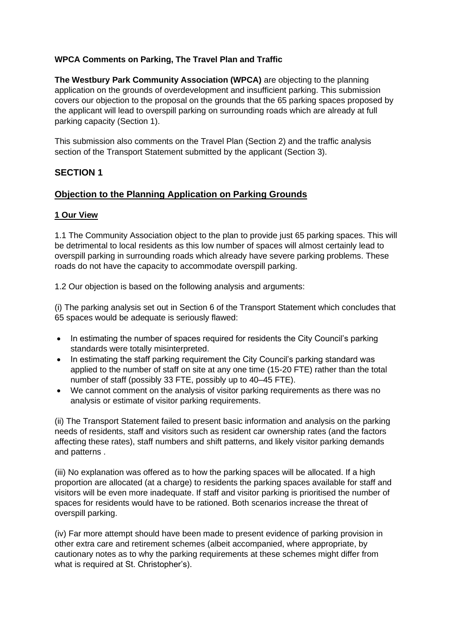# **WPCA Comments on Parking, The Travel Plan and Traffic**

**The Westbury Park Community Association (WPCA)** are objecting to the planning application on the grounds of overdevelopment and insufficient parking. This submission covers our objection to the proposal on the grounds that the 65 parking spaces proposed by the applicant will lead to overspill parking on surrounding roads which are already at full parking capacity (Section 1).

This submission also comments on the Travel Plan (Section 2) and the traffic analysis section of the Transport Statement submitted by the applicant (Section 3).

# **SECTION 1**

# **Objection to the Planning Application on Parking Grounds**

## **1 Our View**

1.1 The Community Association object to the plan to provide just 65 parking spaces. This will be detrimental to local residents as this low number of spaces will almost certainly lead to overspill parking in surrounding roads which already have severe parking problems. These roads do not have the capacity to accommodate overspill parking.

1.2 Our objection is based on the following analysis and arguments:

(i) The parking analysis set out in Section 6 of the Transport Statement which concludes that 65 spaces would be adequate is seriously flawed:

- In estimating the number of spaces required for residents the City Council's parking standards were totally misinterpreted.
- In estimating the staff parking requirement the City Council's parking standard was applied to the number of staff on site at any one time (15-20 FTE) rather than the total number of staff (possibly 33 FTE, possibly up to 40–45 FTE).
- We cannot comment on the analysis of visitor parking requirements as there was no analysis or estimate of visitor parking requirements.

(ii) The Transport Statement failed to present basic information and analysis on the parking needs of residents, staff and visitors such as resident car ownership rates (and the factors affecting these rates), staff numbers and shift patterns, and likely visitor parking demands and patterns .

(iii) No explanation was offered as to how the parking spaces will be allocated. If a high proportion are allocated (at a charge) to residents the parking spaces available for staff and visitors will be even more inadequate. If staff and visitor parking is prioritised the number of spaces for residents would have to be rationed. Both scenarios increase the threat of overspill parking.

(iv) Far more attempt should have been made to present evidence of parking provision in other extra care and retirement schemes (albeit accompanied, where appropriate, by cautionary notes as to why the parking requirements at these schemes might differ from what is required at St. Christopher's).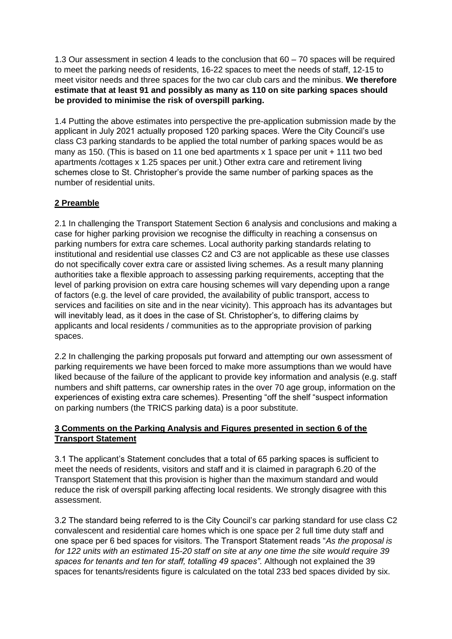1.3 Our assessment in section 4 leads to the conclusion that 60 – 70 spaces will be required to meet the parking needs of residents, 16-22 spaces to meet the needs of staff, 12-15 to meet visitor needs and three spaces for the two car club cars and the minibus. **We therefore estimate that at least 91 and possibly as many as 110 on site parking spaces should be provided to minimise the risk of overspill parking.** 

1.4 Putting the above estimates into perspective the pre-application submission made by the applicant in July 2021 actually proposed 120 parking spaces. Were the City Council's use class C3 parking standards to be applied the total number of parking spaces would be as many as 150. (This is based on 11 one bed apartments x 1 space per unit + 111 two bed apartments /cottages x 1.25 spaces per unit.) Other extra care and retirement living schemes close to St. Christopher's provide the same number of parking spaces as the number of residential units.

# **2 Preamble**

2.1 In challenging the Transport Statement Section 6 analysis and conclusions and making a case for higher parking provision we recognise the difficulty in reaching a consensus on parking numbers for extra care schemes. Local authority parking standards relating to institutional and residential use classes C2 and C3 are not applicable as these use classes do not specifically cover extra care or assisted living schemes. As a result many planning authorities take a flexible approach to assessing parking requirements, accepting that the level of parking provision on extra care housing schemes will vary depending upon a range of factors (e.g. the level of care provided, the availability of public transport, access to services and facilities on site and in the near vicinity). This approach has its advantages but will inevitably lead, as it does in the case of St. Christopher's, to differing claims by applicants and local residents / communities as to the appropriate provision of parking spaces.

2.2 In challenging the parking proposals put forward and attempting our own assessment of parking requirements we have been forced to make more assumptions than we would have liked because of the failure of the applicant to provide key information and analysis (e.g. staff numbers and shift patterns, car ownership rates in the over 70 age group, information on the experiences of existing extra care schemes). Presenting "off the shelf "suspect information on parking numbers (the TRICS parking data) is a poor substitute.

# **3 Comments on the Parking Analysis and Figures presented in section 6 of the Transport Statement**

3.1 The applicant's Statement concludes that a total of 65 parking spaces is sufficient to meet the needs of residents, visitors and staff and it is claimed in paragraph 6.20 of the Transport Statement that this provision is higher than the maximum standard and would reduce the risk of overspill parking affecting local residents. We strongly disagree with this assessment.

3.2 The standard being referred to is the City Council's car parking standard for use class C2 convalescent and residential care homes which is one space per 2 full time duty staff and one space per 6 bed spaces for visitors. The Transport Statement reads "*As the proposal is for 122 units with an estimated 15-20 staff on site at any one time the site would require 39 spaces for tenants and ten for staff, totalling 49 spaces".* Although not explained the 39 spaces for tenants/residents figure is calculated on the total 233 bed spaces divided by six.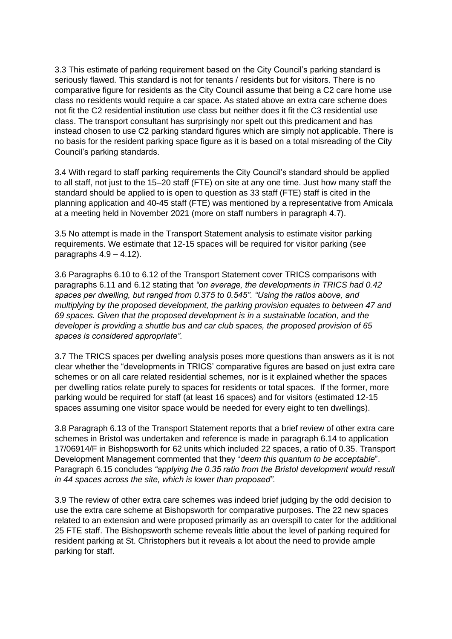3.3 This estimate of parking requirement based on the City Council's parking standard is seriously flawed. This standard is not for tenants / residents but for visitors. There is no comparative figure for residents as the City Council assume that being a C2 care home use class no residents would require a car space. As stated above an extra care scheme does not fit the C2 residential institution use class but neither does it fit the C3 residential use class. The transport consultant has surprisingly nor spelt out this predicament and has instead chosen to use C2 parking standard figures which are simply not applicable. There is no basis for the resident parking space figure as it is based on a total misreading of the City Council's parking standards.

3.4 With regard to staff parking requirements the City Council's standard should be applied to all staff, not just to the 15–20 staff (FTE) on site at any one time. Just how many staff the standard should be applied to is open to question as 33 staff (FTE) staff is cited in the planning application and 40-45 staff (FTE) was mentioned by a representative from Amicala at a meeting held in November 2021 (more on staff numbers in paragraph 4.7).

3.5 No attempt is made in the Transport Statement analysis to estimate visitor parking requirements. We estimate that 12-15 spaces will be required for visitor parking (see paragraphs  $4.9 - 4.12$ ).

3.6 Paragraphs 6.10 to 6.12 of the Transport Statement cover TRICS comparisons with paragraphs 6.11 and 6.12 stating that *"on average, the developments in TRICS had 0.42 spaces per dwelling, but ranged from 0.375 to 0.545". "Using the ratios above, and multiplying by the proposed development, the parking provision equates to between 47 and 69 spaces. Given that the proposed development is in a sustainable location, and the developer is providing a shuttle bus and car club spaces, the proposed provision of 65 spaces is considered appropriate".*

3.7 The TRICS spaces per dwelling analysis poses more questions than answers as it is not clear whether the "developments in TRICS' comparative figures are based on just extra care schemes or on all care related residential schemes, nor is it explained whether the spaces per dwelling ratios relate purely to spaces for residents or total spaces. If the former, more parking would be required for staff (at least 16 spaces) and for visitors (estimated 12-15 spaces assuming one visitor space would be needed for every eight to ten dwellings).

3.8 Paragraph 6.13 of the Transport Statement reports that a brief review of other extra care schemes in Bristol was undertaken and reference is made in paragraph 6.14 to application 17/06914/F in Bishopsworth for 62 units which included 22 spaces, a ratio of 0.35. Transport Development Management commented that they "*deem this quantum to be acceptable*". Paragraph 6.15 concludes *"applying the 0.35 ratio from the Bristol development would result in 44 spaces across the site, which is lower than proposed".*

3.9 The review of other extra care schemes was indeed brief judging by the odd decision to use the extra care scheme at Bishopsworth for comparative purposes. The 22 new spaces related to an extension and were proposed primarily as an overspill to cater for the additional 25 FTE staff. The Bishopsworth scheme reveals little about the level of parking required for resident parking at St. Christophers but it reveals a lot about the need to provide ample parking for staff.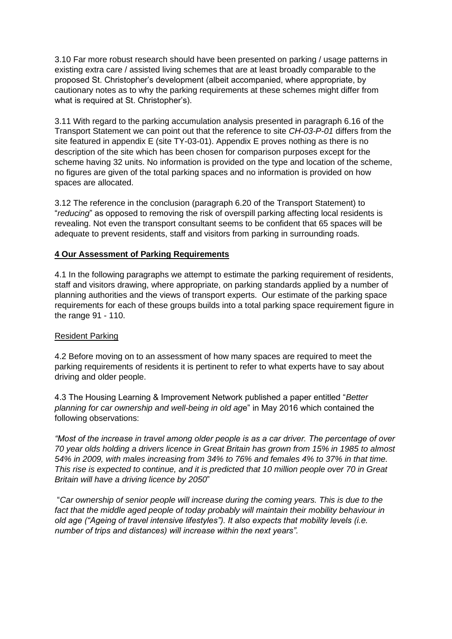3.10 Far more robust research should have been presented on parking / usage patterns in existing extra care / assisted living schemes that are at least broadly comparable to the proposed St. Christopher's development (albeit accompanied, where appropriate, by cautionary notes as to why the parking requirements at these schemes might differ from what is required at St. Christopher's).

3.11 With regard to the parking accumulation analysis presented in paragraph 6.16 of the Transport Statement we can point out that the reference to site *CH-03-P-01* differs from the site featured in appendix E (site TY-03-01). Appendix E proves nothing as there is no description of the site which has been chosen for comparison purposes except for the scheme having 32 units. No information is provided on the type and location of the scheme, no figures are given of the total parking spaces and no information is provided on how spaces are allocated.

3.12 The reference in the conclusion (paragraph 6.20 of the Transport Statement) to "*reducing*" as opposed to removing the risk of overspill parking affecting local residents is revealing. Not even the transport consultant seems to be confident that 65 spaces will be adequate to prevent residents, staff and visitors from parking in surrounding roads.

## **4 Our Assessment of Parking Requirements**

4.1 In the following paragraphs we attempt to estimate the parking requirement of residents, staff and visitors drawing, where appropriate, on parking standards applied by a number of planning authorities and the views of transport experts. Our estimate of the parking space requirements for each of these groups builds into a total parking space requirement figure in the range 91 - 110.

### Resident Parking

4.2 Before moving on to an assessment of how many spaces are required to meet the parking requirements of residents it is pertinent to refer to what experts have to say about driving and older people.

4.3 The Housing Learning & Improvement Network published a paper entitled "*Better planning for car ownership and well-being in old ag*e" in May 2016 which contained the following observations:

*"Most of the increase in travel among older people is as a car driver. The percentage of over 70 year olds holding a drivers licence in Great Britain has grown from 15% in 1985 to almost 54% in 2009, with males increasing from 34% to 76% and females 4% to 37% in that time. This rise is expected to continue, and it is predicted that 10 million people over 70 in Great Britain will have a driving licence by 2050*"

"*Car ownership of senior people will increase during the coming years. This is due to the*  fact that the middle aged people of today probably will maintain their mobility behaviour in *old age ("Ageing of travel intensive lifestyles"). It also expects that mobility levels (i.e. number of trips and distances) will increase within the next years".*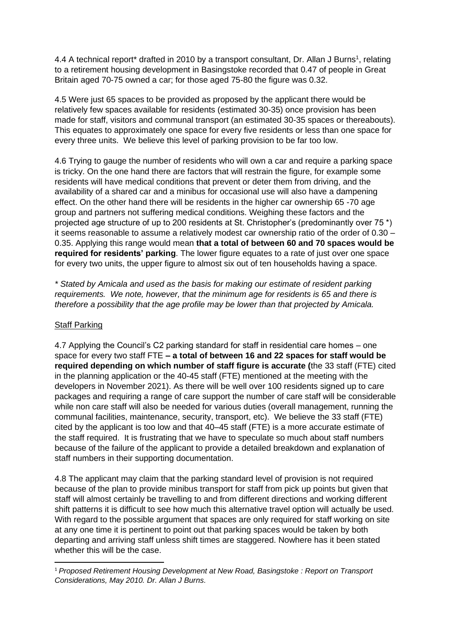4.4 A technical report\* drafted in 2010 by a transport consultant, Dr. Allan J Burns<sup>1</sup>, relating to a retirement housing development in Basingstoke recorded that 0.47 of people in Great Britain aged 70-75 owned a car; for those aged 75-80 the figure was 0.32.

4.5 Were just 65 spaces to be provided as proposed by the applicant there would be relatively few spaces available for residents (estimated 30-35) once provision has been made for staff, visitors and communal transport (an estimated 30-35 spaces or thereabouts). This equates to approximately one space for every five residents or less than one space for every three units. We believe this level of parking provision to be far too low.

4.6 Trying to gauge the number of residents who will own a car and require a parking space is tricky. On the one hand there are factors that will restrain the figure, for example some residents will have medical conditions that prevent or deter them from driving, and the availability of a shared car and a minibus for occasional use will also have a dampening effect. On the other hand there will be residents in the higher car ownership 65 -70 age group and partners not suffering medical conditions. Weighing these factors and the projected age structure of up to 200 residents at St. Christopher's (predominantly over 75 \*) it seems reasonable to assume a relatively modest car ownership ratio of the order of 0.30 – 0.35. Applying this range would mean **that a total of between 60 and 70 spaces would be required for residents' parking**. The lower figure equates to a rate of just over one space for every two units, the upper figure to almost six out of ten households having a space.

*\* Stated by Amicala and used as the basis for making our estimate of resident parking requirements. We note, however, that the minimum age for residents is 65 and there is therefore a possibility that the age profile may be lower than that projected by Amicala.* 

### **Staff Parking**

4.7 Applying the Council's C2 parking standard for staff in residential care homes – one space for every two staff FTE **– a total of between 16 and 22 spaces for staff would be required depending on which number of staff figure is accurate (**the 33 staff (FTE) cited in the planning application or the 40-45 staff (FTE) mentioned at the meeting with the developers in November 2021). As there will be well over 100 residents signed up to care packages and requiring a range of care support the number of care staff will be considerable while non care staff will also be needed for various duties (overall management, running the communal facilities, maintenance, security, transport, etc). We believe the 33 staff (FTE) cited by the applicant is too low and that 40–45 staff (FTE) is a more accurate estimate of the staff required. It is frustrating that we have to speculate so much about staff numbers because of the failure of the applicant to provide a detailed breakdown and explanation of staff numbers in their supporting documentation.

4.8 The applicant may claim that the parking standard level of provision is not required because of the plan to provide minibus transport for staff from pick up points but given that staff will almost certainly be travelling to and from different directions and working different shift patterns it is difficult to see how much this alternative travel option will actually be used. With regard to the possible argument that spaces are only required for staff working on site at any one time it is pertinent to point out that parking spaces would be taken by both departing and arriving staff unless shift times are staggered. Nowhere has it been stated whether this will be the case.

<sup>1</sup> *Proposed Retirement Housing Development at New Road, Basingstoke : Report on Transport Considerations, May 2010. Dr. Allan J Burns.*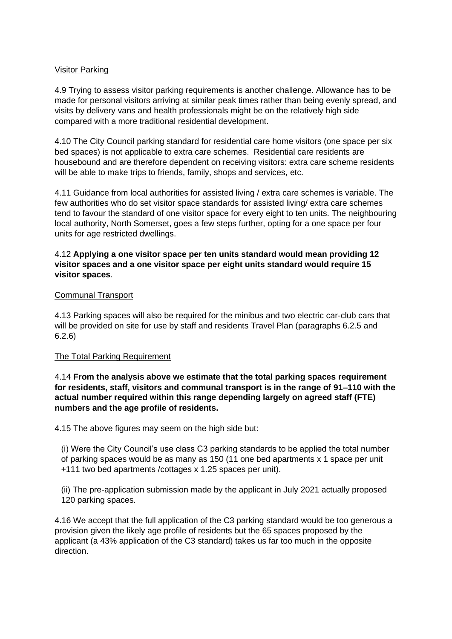### Visitor Parking

4.9 Trying to assess visitor parking requirements is another challenge. Allowance has to be made for personal visitors arriving at similar peak times rather than being evenly spread, and visits by delivery vans and health professionals might be on the relatively high side compared with a more traditional residential development.

4.10 The City Council parking standard for residential care home visitors (one space per six bed spaces) is not applicable to extra care schemes. Residential care residents are housebound and are therefore dependent on receiving visitors: extra care scheme residents will be able to make trips to friends, family, shops and services, etc.

4.11 Guidance from local authorities for assisted living / extra care schemes is variable. The few authorities who do set visitor space standards for assisted living/ extra care schemes tend to favour the standard of one visitor space for every eight to ten units. The neighbouring local authority, North Somerset, goes a few steps further, opting for a one space per four units for age restricted dwellings.

### 4.12 **Applying a one visitor space per ten units standard would mean providing 12 visitor spaces and a one visitor space per eight units standard would require 15 visitor spaces**.

### Communal Transport

4.13 Parking spaces will also be required for the minibus and two electric car-club cars that will be provided on site for use by staff and residents Travel Plan (paragraphs 6.2.5 and 6.2.6)

### The Total Parking Requirement

### 4.14 **From the analysis above we estimate that the total parking spaces requirement for residents, staff, visitors and communal transport is in the range of 91–110 with the actual number required within this range depending largely on agreed staff (FTE) numbers and the age profile of residents.**

4.15 The above figures may seem on the high side but:

(i) Were the City Council's use class C3 parking standards to be applied the total number of parking spaces would be as many as 150 (11 one bed apartments x 1 space per unit +111 two bed apartments /cottages x 1.25 spaces per unit).

(ii) The pre-application submission made by the applicant in July 2021 actually proposed 120 parking spaces.

4.16 We accept that the full application of the C3 parking standard would be too generous a provision given the likely age profile of residents but the 65 spaces proposed by the applicant (a 43% application of the C3 standard) takes us far too much in the opposite direction.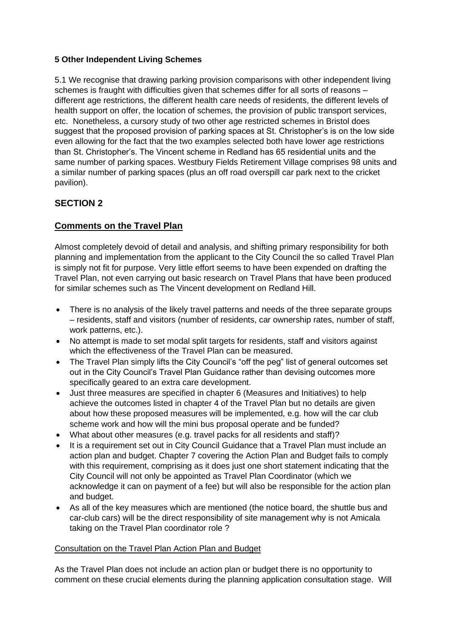## **5 Other Independent Living Schemes**

5.1 We recognise that drawing parking provision comparisons with other independent living schemes is fraught with difficulties given that schemes differ for all sorts of reasons different age restrictions, the different health care needs of residents, the different levels of health support on offer, the location of schemes, the provision of public transport services, etc. Nonetheless, a cursory study of two other age restricted schemes in Bristol does suggest that the proposed provision of parking spaces at St. Christopher's is on the low side even allowing for the fact that the two examples selected both have lower age restrictions than St. Christopher's. The Vincent scheme in Redland has 65 residential units and the same number of parking spaces. Westbury Fields Retirement Village comprises 98 units and a similar number of parking spaces (plus an off road overspill car park next to the cricket pavilion).

# **SECTION 2**

# **Comments on the Travel Plan**

Almost completely devoid of detail and analysis, and shifting primary responsibility for both planning and implementation from the applicant to the City Council the so called Travel Plan is simply not fit for purpose. Very little effort seems to have been expended on drafting the Travel Plan, not even carrying out basic research on Travel Plans that have been produced for similar schemes such as The Vincent development on Redland Hill.

- There is no analysis of the likely travel patterns and needs of the three separate groups – residents, staff and visitors (number of residents, car ownership rates, number of staff, work patterns, etc.).
- No attempt is made to set modal split targets for residents, staff and visitors against which the effectiveness of the Travel Plan can be measured.
- The Travel Plan simply lifts the City Council's "off the peg" list of general outcomes set out in the City Council's Travel Plan Guidance rather than devising outcomes more specifically geared to an extra care development.
- Just three measures are specified in chapter 6 (Measures and Initiatives) to help achieve the outcomes listed in chapter 4 of the Travel Plan but no details are given about how these proposed measures will be implemented, e.g. how will the car club scheme work and how will the mini bus proposal operate and be funded?
- What about other measures (e.g. travel packs for all residents and staff)?
- It is a requirement set out in City Council Guidance that a Travel Plan must include an action plan and budget. Chapter 7 covering the Action Plan and Budget fails to comply with this requirement, comprising as it does just one short statement indicating that the City Council will not only be appointed as Travel Plan Coordinator (which we acknowledge it can on payment of a fee) but will also be responsible for the action plan and budget.
- As all of the key measures which are mentioned (the notice board, the shuttle bus and car-club cars) will be the direct responsibility of site management why is not Amicala taking on the Travel Plan coordinator role ?

### Consultation on the Travel Plan Action Plan and Budget

As the Travel Plan does not include an action plan or budget there is no opportunity to comment on these crucial elements during the planning application consultation stage. Will